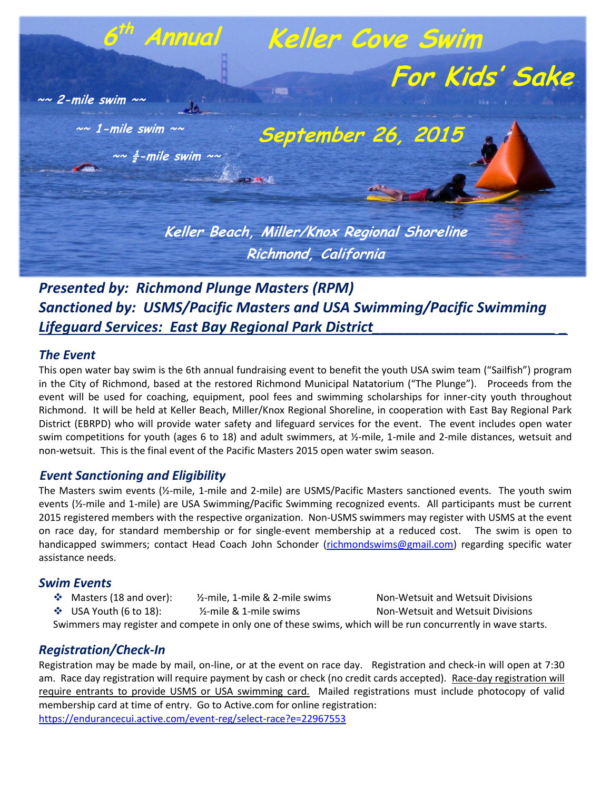

*Presented by: Richmond Plunge Masters (RPM) Sanctioned by: USMS/Pacific Masters and USA Swimming/Pacific Swimming Lifeguard Services: East Bay Regional Park District\_\_\_\_\_\_\_\_\_\_\_\_\_\_\_\_\_\_\_\_\_\_\_ \_*

### *The Event*

This open water bay swim is the 6th annual fundraising event to benefit the youth USA swim team ("Sailfish") program in the City of Richmond, based at the restored Richmond Municipal Natatorium ("The Plunge"). Proceeds from the event will be used for coaching, equipment, pool fees and swimming scholarships for inner-city youth throughout Richmond. It will be held at Keller Beach, Miller/Knox Regional Shoreline, in cooperation with East Bay Regional Park District (EBRPD) who will provide water safety and lifeguard services for the event. The event includes open water swim competitions for youth (ages 6 to 18) and adult swimmers, at  $\frac{1}{2}$ -mile, 1-mile and 2-mile distances, wetsuit and non-wetsuit. This is the final event of the Pacific Masters 2015 open water swim season.

## *Event Sanctioning and Eligibility*

The Masters swim events (½-mile, 1-mile and 2-mile) are USMS/Pacific Masters sanctioned events. The youth swim events (½-mile and 1-mile) are USA Swimming/Pacific Swimming recognized events. All participants must be current 2015 registered members with the respective organization. Non-USMS swimmers may register with USMS at the event on race day, for standard membership or for single-event membership at a reduced cost. The swim is open to handicapped swimmers; contact Head Coach John Schonder [\(richmondswims@gmail.com\)](mailto:richmondswims@gmail.com) regarding specific water assistance needs.

# *Swim Events*

- Masters (18 and over): ½-mile, 1-mile & 2-mile swims Non-Wetsuit and Wetsuit Divisions
- ◆ USA Youth (6 to 18): <br>
→ V2-mile & 1-mile swims Non-Wetsuit and Wetsuit Divisions

Swimmers may register and compete in only one of these swims, which will be run concurrently in wave starts.

# *Registration/Check-In*

Registration may be made by mail, on-line, or at the event on race day. Registration and check-in will open at 7:30 am. Race day registration will require payment by cash or check (no credit cards accepted). Race-day registration will require entrants to provide USMS or USA swimming card. Mailed registrations must include photocopy of valid membership card at time of entry. Go to Active.com for online registration: <https://endurancecui.active.com/event-reg/select-race?e=22967553>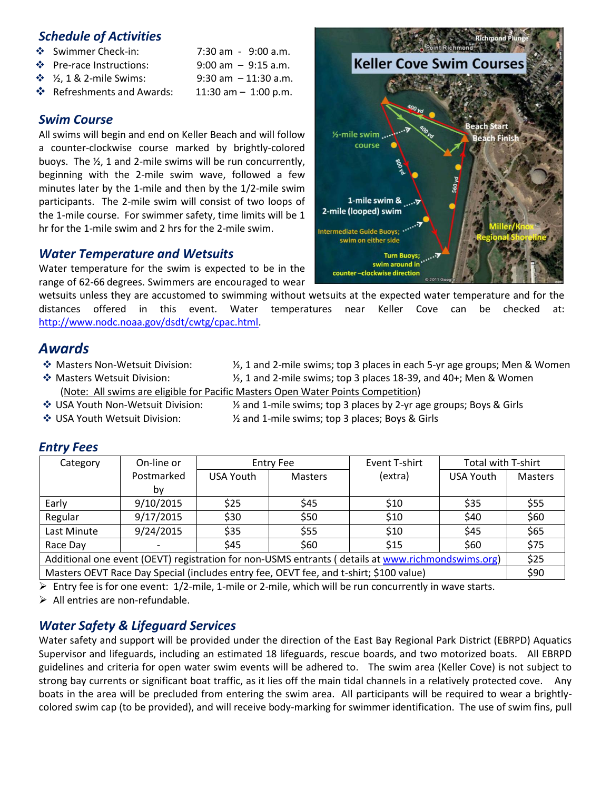## *Schedule of Activities*

- $\div$  Swimmer Check-in: 7:30 am 9:00 a.m.
- $\cdot \cdot$  Pre-race Instructions: 9:00 am 9:15 a.m.
- $\frac{1}{2}$   $\frac{1}{2}$ , 1 & 2-mile Swims: 9:30 am 11:30 a.m.
- $\cdot \cdot$  Refreshments and Awards: 11:30 am 1:00 p.m.

# *Swim Course*

All swims will begin and end on Keller Beach and will follow a counter-clockwise course marked by brightly-colored buoys. The ½, 1 and 2-mile swims will be run concurrently, beginning with the 2-mile swim wave, followed a few minutes later by the 1-mile and then by the 1/2-mile swim participants. The 2-mile swim will consist of two loops of the 1-mile course. For swimmer safety, time limits will be 1 hr for the 1-mile swim and 2 hrs for the 2-mile swim.

# *Water Temperature and Wetsuits*

Water temperature for the swim is expected to be in the range of 62-66 degrees. Swimmers are encouraged to wear

wetsuits unless they are accustomed to swimming without wetsuits at the expected water temperature and for the distances offered in this event. Water temperatures near Keller Cove can be checked at: [http://www.nodc.noaa.gov/dsdt/cwtg/cpac.html.](http://www.nodc.noaa.gov/dsdt/cwtg/cpac.html)

# *Awards*

- $\cdot$  Masters Non-Wetsuit Division:  $\frac{1}{2}$ , 1 and 2-mile swims; top 3 places in each 5-yr age groups; Men & Women
- $\clubsuit$  Masters Wetsuit Division:  $\mathcal{V}_1$  1 and 2-mile swims; top 3 places 18-39, and 40+; Men & Women (Note: All swims are eligible for Pacific Masters Open Water Points Competition)
- 
- $\cdot$  USA Youth Non-Wetsuit Division:  $\cdot$  % and 1-mile swims; top 3 places by 2-yr age groups; Boys & Girls  $*$  USA Youth Wetsuit Division:  $*$  2 and 1-mile swims; top 3 places; Boys & Girls

| Category                                                                                                                                                                                                                           | On-line or |           | <b>Entry Fee</b> | Event T-shirt | Total with T-shirt |                |
|------------------------------------------------------------------------------------------------------------------------------------------------------------------------------------------------------------------------------------|------------|-----------|------------------|---------------|--------------------|----------------|
|                                                                                                                                                                                                                                    | Postmarked | USA Youth | <b>Masters</b>   | (extra)       | USA Youth          | <b>Masters</b> |
|                                                                                                                                                                                                                                    | by         |           |                  |               |                    |                |
| Early                                                                                                                                                                                                                              | 9/10/2015  | \$25      | <b>S45</b>       | <b>S10</b>    | \$35               | \$55           |
| Regular                                                                                                                                                                                                                            | 9/17/2015  | \$30      | \$50             | \$10          | \$40               | \$60           |
| Last Minute                                                                                                                                                                                                                        | 9/24/2015  | \$35      | \$55             | \$10          | \$45               | \$65           |
| Race Day                                                                                                                                                                                                                           |            | \$45      | \$60             | \$15          | \$60               | \$75           |
| Additional one event (OEVT) registration for non-USMS entrants (details at www.richmondswims.org)                                                                                                                                  |            |           |                  |               |                    | \$25           |
| Masters OEVT Race Day Special (includes entry fee, OEVT fee, and t-shirt; \$100 value)                                                                                                                                             |            |           |                  |               |                    | \$90           |
| $\mathcal{N}$ , and the contract of the contract of the contract of the contract of the contract of the contract of the contract of the contract of the contract of the contract of the contract of the contract of the contract o |            |           |                  |               |                    |                |

## *Entry Fees*

 $\triangleright$  Entry fee is for one event:  $1/2$ -mile, 1-mile or 2-mile, which will be run concurrently in wave starts.

 $\triangleright$  All entries are non-refundable.

# *Water Safety & Lifeguard Services*

 Water safety and support will be provided under the direction of the East Bay Regional Park District (EBRPD) Aquatics Supervisor and lifeguards, including an estimated 18 lifeguards, rescue boards, and two motorized boats. All EBRPD guidelines and criteria for open water swim events will be adhered to. The swim area (Keller Cove) is not subject to strong bay currents or significant boat traffic, as it lies off the main tidal channels in a relatively protected cove. Any boats in the area will be precluded from entering the swim area. All participants will be required to wear a brightlycolored swim cap (to be provided), and will receive body-marking for swimmer identification. The use of swim fins, pull